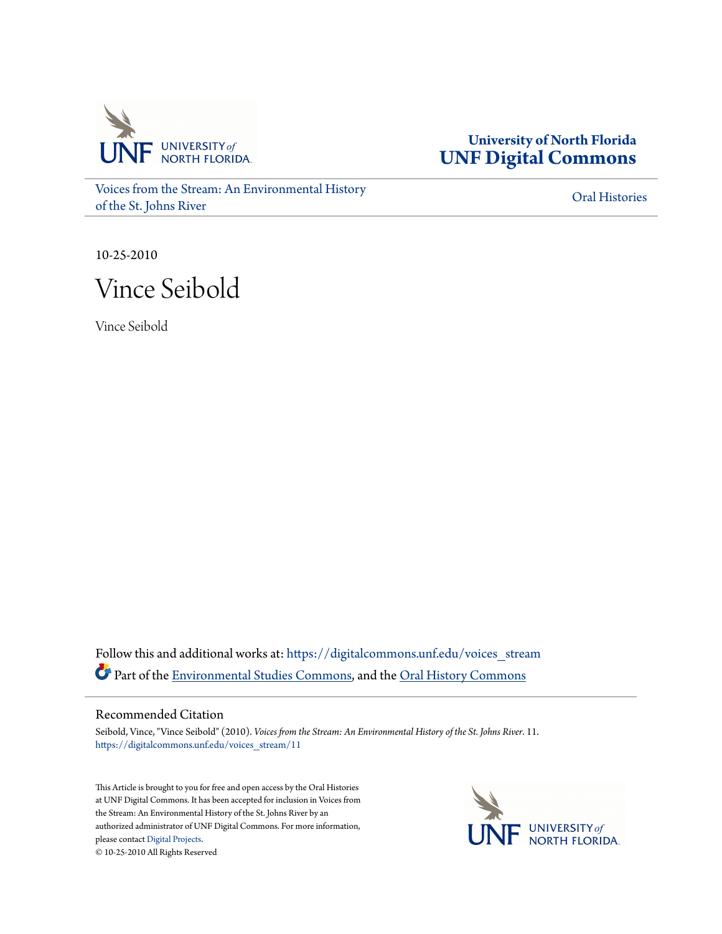

**University of North Florida [UNF Digital Commons](https://digitalcommons.unf.edu?utm_source=digitalcommons.unf.edu%2Fvoices_stream%2F11&utm_medium=PDF&utm_campaign=PDFCoverPages)**

[Voices from the Stream: An Environmental History](https://digitalcommons.unf.edu/voices_stream?utm_source=digitalcommons.unf.edu%2Fvoices_stream%2F11&utm_medium=PDF&utm_campaign=PDFCoverPages) [of the St. Johns River](https://digitalcommons.unf.edu/voices_stream?utm_source=digitalcommons.unf.edu%2Fvoices_stream%2F11&utm_medium=PDF&utm_campaign=PDFCoverPages)

[Oral Histories](https://digitalcommons.unf.edu/oral_histories?utm_source=digitalcommons.unf.edu%2Fvoices_stream%2F11&utm_medium=PDF&utm_campaign=PDFCoverPages)

10-25-2010

## Vince Seibold

Vince Seibold

Follow this and additional works at: [https://digitalcommons.unf.edu/voices\\_stream](https://digitalcommons.unf.edu/voices_stream?utm_source=digitalcommons.unf.edu%2Fvoices_stream%2F11&utm_medium=PDF&utm_campaign=PDFCoverPages) Part of the [Environmental Studies Commons](http://network.bepress.com/hgg/discipline/1333?utm_source=digitalcommons.unf.edu%2Fvoices_stream%2F11&utm_medium=PDF&utm_campaign=PDFCoverPages), and the [Oral History Commons](http://network.bepress.com/hgg/discipline/1195?utm_source=digitalcommons.unf.edu%2Fvoices_stream%2F11&utm_medium=PDF&utm_campaign=PDFCoverPages)

## Recommended Citation

Seibold, Vince, "Vince Seibold" (2010). *Voices from the Stream: An Environmental History of the St. Johns River*. 11. [https://digitalcommons.unf.edu/voices\\_stream/11](https://digitalcommons.unf.edu/voices_stream/11?utm_source=digitalcommons.unf.edu%2Fvoices_stream%2F11&utm_medium=PDF&utm_campaign=PDFCoverPages)

This Article is brought to you for free and open access by the Oral Histories at UNF Digital Commons. It has been accepted for inclusion in Voices from the Stream: An Environmental History of the St. Johns River by an authorized administrator of UNF Digital Commons. For more information, please contact [Digital Projects.](mailto:lib-digital@unf.edu) © 10-25-2010 All Rights Reserved

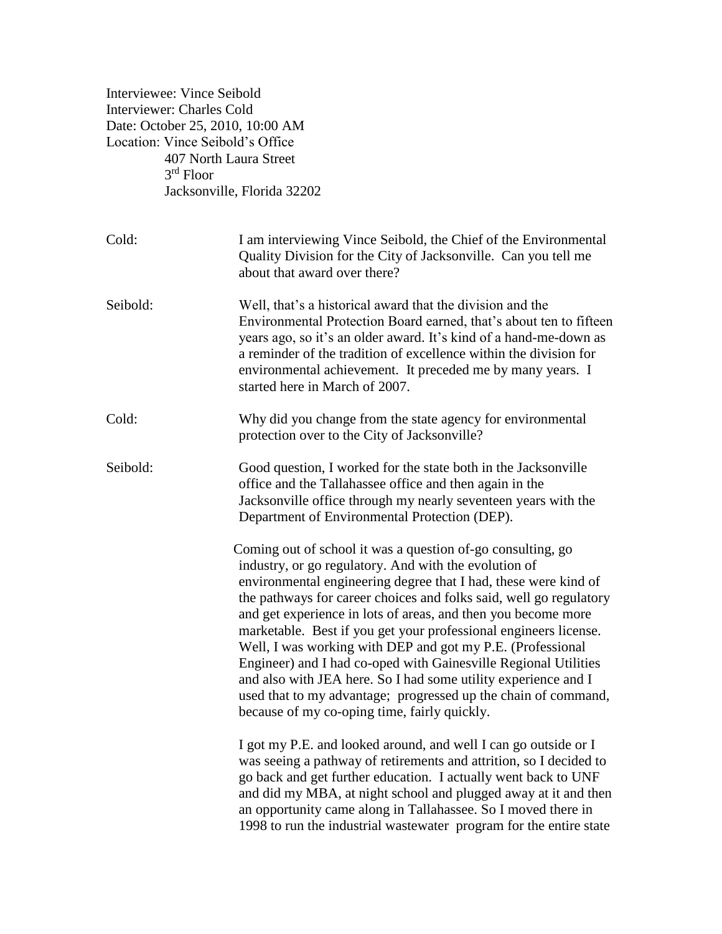Interviewee: Vince Seibold Interviewer: Charles Cold Date: October 25, 2010, 10:00 AM Location: Vince Seibold's Office 407 North Laura Street 3 rd Floor Jacksonville, Florida 32202

Cold: I am interviewing Vince Seibold, the Chief of the Environmental Quality Division for the City of Jacksonville. Can you tell me about that award over there? Seibold: Well, that's a historical award that the division and the Environmental Protection Board earned, that's about ten to fifteen years ago, so it's an older award. It's kind of a hand-me-down as a reminder of the tradition of excellence within the division for environmental achievement. It preceded me by many years. I started here in March of 2007. Cold: Why did you change from the state agency for environmental protection over to the City of Jacksonville? Seibold: Good question, I worked for the state both in the Jacksonville office and the Tallahassee office and then again in the Jacksonville office through my nearly seventeen years with the Department of Environmental Protection (DEP). Coming out of school it was a question of-go consulting, go industry, or go regulatory. And with the evolution of environmental engineering degree that I had, these were kind of the pathways for career choices and folks said, well go regulatory and get experience in lots of areas, and then you become more marketable. Best if you get your professional engineers license. Well, I was working with DEP and got my P.E. (Professional Engineer) and I had co-oped with Gainesville Regional Utilities and also with JEA here. So I had some utility experience and I used that to my advantage; progressed up the chain of command, because of my co-oping time, fairly quickly. I got my P.E. and looked around, and well I can go outside or I was seeing a pathway of retirements and attrition, so I decided to go back and get further education. I actually went back to UNF and did my MBA, at night school and plugged away at it and then an opportunity came along in Tallahassee. So I moved there in

1998 to run the industrial wastewater program for the entire state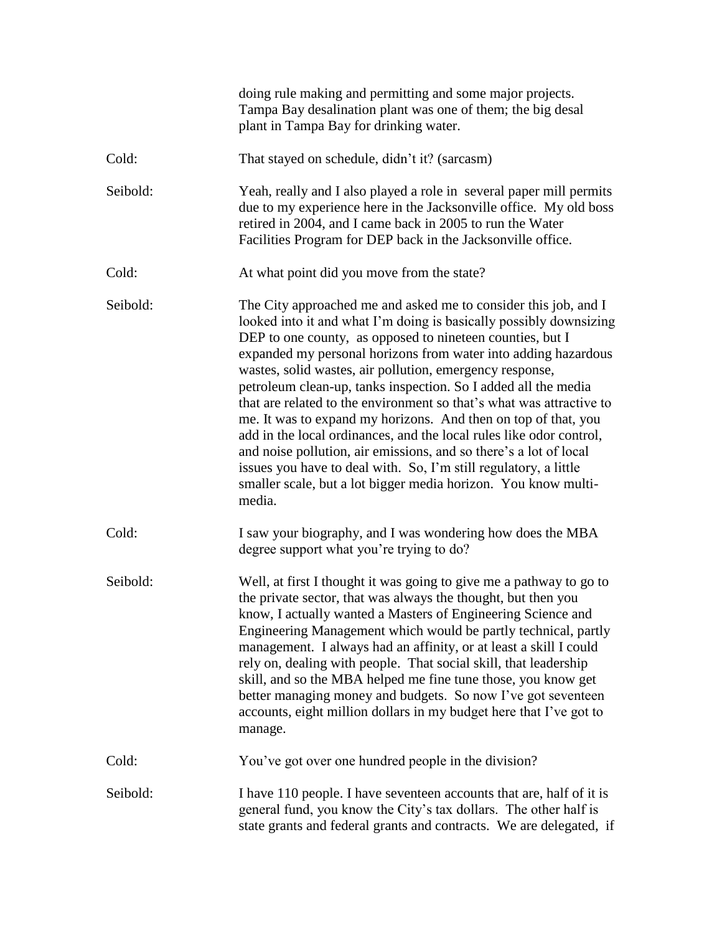|          | doing rule making and permitting and some major projects.<br>Tampa Bay desalination plant was one of them; the big desal<br>plant in Tampa Bay for drinking water.                                                                                                                                                                                                                                                                                                                                                                                                                                                                                                                                                                                                                                                                       |
|----------|------------------------------------------------------------------------------------------------------------------------------------------------------------------------------------------------------------------------------------------------------------------------------------------------------------------------------------------------------------------------------------------------------------------------------------------------------------------------------------------------------------------------------------------------------------------------------------------------------------------------------------------------------------------------------------------------------------------------------------------------------------------------------------------------------------------------------------------|
| Cold:    | That stayed on schedule, didn't it? (sarcasm)                                                                                                                                                                                                                                                                                                                                                                                                                                                                                                                                                                                                                                                                                                                                                                                            |
| Seibold: | Yeah, really and I also played a role in several paper mill permits<br>due to my experience here in the Jacksonville office. My old boss<br>retired in 2004, and I came back in 2005 to run the Water<br>Facilities Program for DEP back in the Jacksonville office.                                                                                                                                                                                                                                                                                                                                                                                                                                                                                                                                                                     |
| Cold:    | At what point did you move from the state?                                                                                                                                                                                                                                                                                                                                                                                                                                                                                                                                                                                                                                                                                                                                                                                               |
| Seibold: | The City approached me and asked me to consider this job, and I<br>looked into it and what I'm doing is basically possibly downsizing<br>DEP to one county, as opposed to nineteen counties, but I<br>expanded my personal horizons from water into adding hazardous<br>wastes, solid wastes, air pollution, emergency response,<br>petroleum clean-up, tanks inspection. So I added all the media<br>that are related to the environment so that's what was attractive to<br>me. It was to expand my horizons. And then on top of that, you<br>add in the local ordinances, and the local rules like odor control,<br>and noise pollution, air emissions, and so there's a lot of local<br>issues you have to deal with. So, I'm still regulatory, a little<br>smaller scale, but a lot bigger media horizon. You know multi-<br>media. |
| Cold:    | I saw your biography, and I was wondering how does the MBA<br>degree support what you're trying to do?                                                                                                                                                                                                                                                                                                                                                                                                                                                                                                                                                                                                                                                                                                                                   |
| Seibold: | Well, at first I thought it was going to give me a pathway to go to<br>the private sector, that was always the thought, but then you<br>know, I actually wanted a Masters of Engineering Science and<br>Engineering Management which would be partly technical, partly<br>management. I always had an affinity, or at least a skill I could<br>rely on, dealing with people. That social skill, that leadership<br>skill, and so the MBA helped me fine tune those, you know get<br>better managing money and budgets. So now I've got seventeen<br>accounts, eight million dollars in my budget here that I've got to<br>manage.                                                                                                                                                                                                        |
| Cold:    | You've got over one hundred people in the division?                                                                                                                                                                                                                                                                                                                                                                                                                                                                                                                                                                                                                                                                                                                                                                                      |
| Seibold: | I have 110 people. I have seventeen accounts that are, half of it is<br>general fund, you know the City's tax dollars. The other half is<br>state grants and federal grants and contracts. We are delegated, if                                                                                                                                                                                                                                                                                                                                                                                                                                                                                                                                                                                                                          |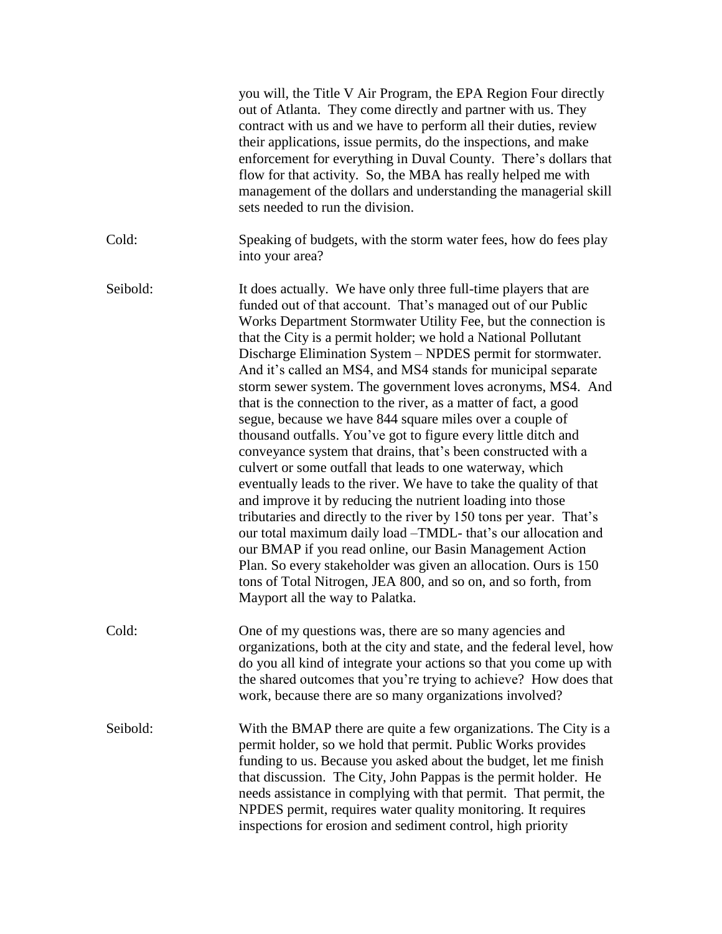|          | you will, the Title V Air Program, the EPA Region Four directly<br>out of Atlanta. They come directly and partner with us. They<br>contract with us and we have to perform all their duties, review<br>their applications, issue permits, do the inspections, and make<br>enforcement for everything in Duval County. There's dollars that<br>flow for that activity. So, the MBA has really helped me with<br>management of the dollars and understanding the managerial skill<br>sets needed to run the division.                                                                                                                                                                                                                                                                                                                                                                                                                                                                                                                                                                                                                                                                                                                                                                                               |
|----------|-------------------------------------------------------------------------------------------------------------------------------------------------------------------------------------------------------------------------------------------------------------------------------------------------------------------------------------------------------------------------------------------------------------------------------------------------------------------------------------------------------------------------------------------------------------------------------------------------------------------------------------------------------------------------------------------------------------------------------------------------------------------------------------------------------------------------------------------------------------------------------------------------------------------------------------------------------------------------------------------------------------------------------------------------------------------------------------------------------------------------------------------------------------------------------------------------------------------------------------------------------------------------------------------------------------------|
| Cold:    | Speaking of budgets, with the storm water fees, how do fees play<br>into your area?                                                                                                                                                                                                                                                                                                                                                                                                                                                                                                                                                                                                                                                                                                                                                                                                                                                                                                                                                                                                                                                                                                                                                                                                                               |
| Seibold: | It does actually. We have only three full-time players that are<br>funded out of that account. That's managed out of our Public<br>Works Department Stormwater Utility Fee, but the connection is<br>that the City is a permit holder; we hold a National Pollutant<br>Discharge Elimination System - NPDES permit for stormwater.<br>And it's called an MS4, and MS4 stands for municipal separate<br>storm sewer system. The government loves acronyms, MS4. And<br>that is the connection to the river, as a matter of fact, a good<br>segue, because we have 844 square miles over a couple of<br>thousand outfalls. You've got to figure every little ditch and<br>conveyance system that drains, that's been constructed with a<br>culvert or some outfall that leads to one waterway, which<br>eventually leads to the river. We have to take the quality of that<br>and improve it by reducing the nutrient loading into those<br>tributaries and directly to the river by 150 tons per year. That's<br>our total maximum daily load -TMDL- that's our allocation and<br>our BMAP if you read online, our Basin Management Action<br>Plan. So every stakeholder was given an allocation. Ours is 150<br>tons of Total Nitrogen, JEA 800, and so on, and so forth, from<br>Mayport all the way to Palatka. |
| Cold:    | One of my questions was, there are so many agencies and<br>organizations, both at the city and state, and the federal level, how<br>do you all kind of integrate your actions so that you come up with<br>the shared outcomes that you're trying to achieve? How does that<br>work, because there are so many organizations involved?                                                                                                                                                                                                                                                                                                                                                                                                                                                                                                                                                                                                                                                                                                                                                                                                                                                                                                                                                                             |
| Seibold: | With the BMAP there are quite a few organizations. The City is a<br>permit holder, so we hold that permit. Public Works provides<br>funding to us. Because you asked about the budget, let me finish<br>that discussion. The City, John Pappas is the permit holder. He<br>needs assistance in complying with that permit. That permit, the<br>NPDES permit, requires water quality monitoring. It requires<br>inspections for erosion and sediment control, high priority                                                                                                                                                                                                                                                                                                                                                                                                                                                                                                                                                                                                                                                                                                                                                                                                                                        |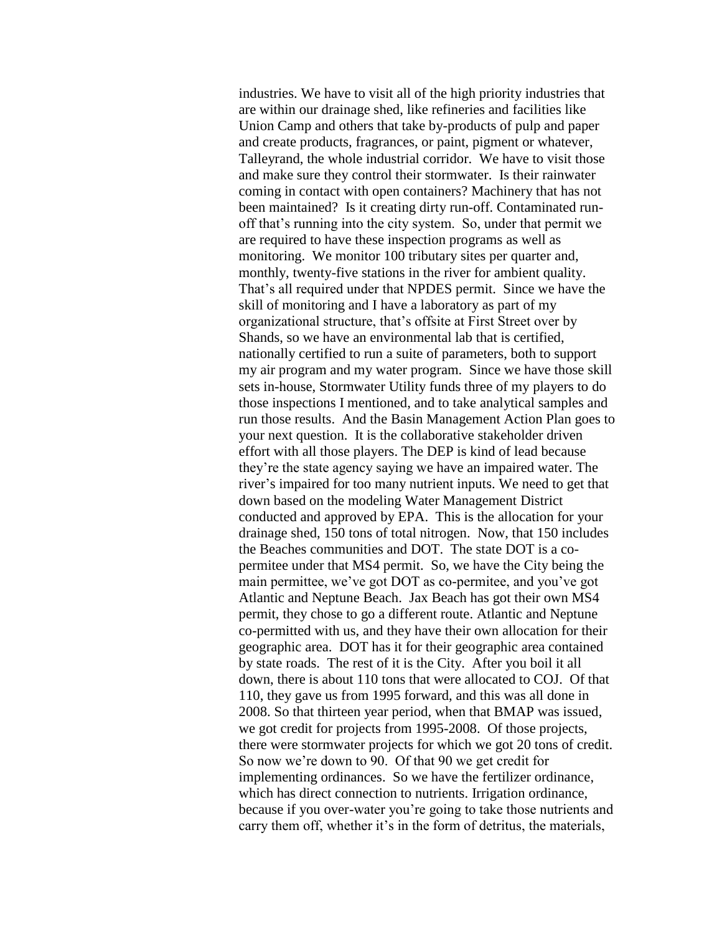industries. We have to visit all of the high priority industries that are within our drainage shed, like refineries and facilities like Union Camp and others that take by-products of pulp and paper and create products, fragrances, or paint, pigment or whatever, Talleyrand, the whole industrial corridor. We have to visit those and make sure they control their stormwater. Is their rainwater coming in contact with open containers? Machinery that has not been maintained? Is it creating dirty run-off. Contaminated runoff that's running into the city system. So, under that permit we are required to have these inspection programs as well as monitoring. We monitor 100 tributary sites per quarter and, monthly, twenty-five stations in the river for ambient quality. That's all required under that NPDES permit. Since we have the skill of monitoring and I have a laboratory as part of my organizational structure, that's offsite at First Street over by Shands, so we have an environmental lab that is certified, nationally certified to run a suite of parameters, both to support my air program and my water program. Since we have those skill sets in-house, Stormwater Utility funds three of my players to do those inspections I mentioned, and to take analytical samples and run those results. And the Basin Management Action Plan goes to your next question. It is the collaborative stakeholder driven effort with all those players. The DEP is kind of lead because they're the state agency saying we have an impaired water. The river's impaired for too many nutrient inputs. We need to get that down based on the modeling Water Management District conducted and approved by EPA. This is the allocation for your drainage shed, 150 tons of total nitrogen. Now, that 150 includes the Beaches communities and DOT. The state DOT is a copermitee under that MS4 permit. So, we have the City being the main permittee, we've got DOT as co-permitee, and you've got Atlantic and Neptune Beach. Jax Beach has got their own MS4 permit, they chose to go a different route. Atlantic and Neptune co-permitted with us, and they have their own allocation for their geographic area. DOT has it for their geographic area contained by state roads. The rest of it is the City. After you boil it all down, there is about 110 tons that were allocated to COJ. Of that 110, they gave us from 1995 forward, and this was all done in 2008. So that thirteen year period, when that BMAP was issued, we got credit for projects from 1995-2008. Of those projects, there were stormwater projects for which we got 20 tons of credit. So now we're down to 90. Of that 90 we get credit for implementing ordinances. So we have the fertilizer ordinance, which has direct connection to nutrients. Irrigation ordinance, because if you over-water you're going to take those nutrients and carry them off, whether it's in the form of detritus, the materials,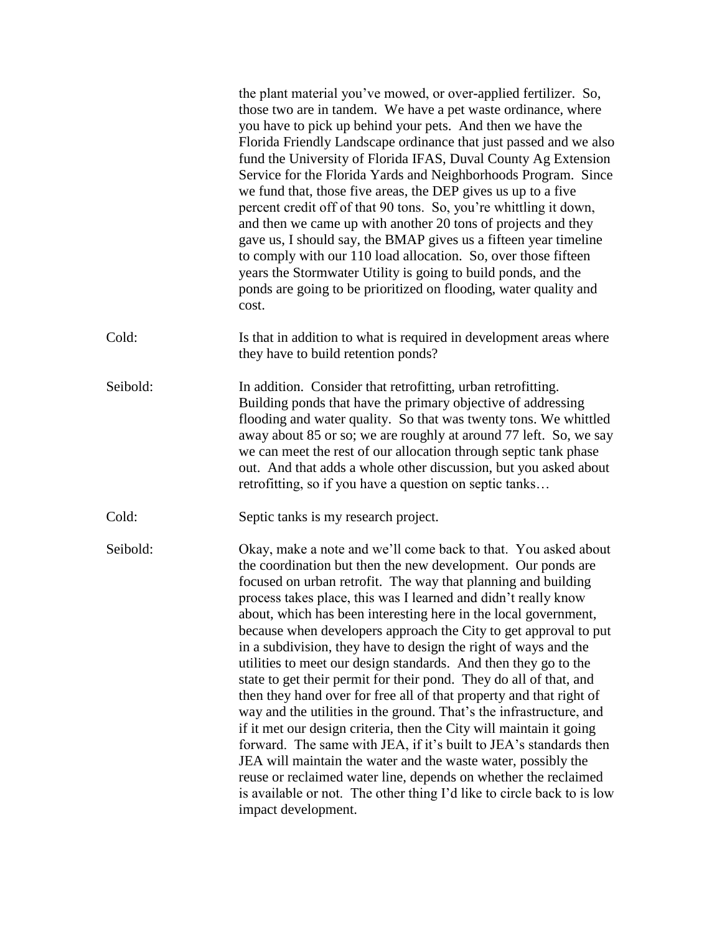|          | the plant material you've mowed, or over-applied fertilizer. So,<br>those two are in tandem. We have a pet waste ordinance, where<br>you have to pick up behind your pets. And then we have the<br>Florida Friendly Landscape ordinance that just passed and we also<br>fund the University of Florida IFAS, Duval County Ag Extension<br>Service for the Florida Yards and Neighborhoods Program. Since<br>we fund that, those five areas, the DEP gives us up to a five<br>percent credit off of that 90 tons. So, you're whittling it down,<br>and then we came up with another 20 tons of projects and they<br>gave us, I should say, the BMAP gives us a fifteen year timeline<br>to comply with our 110 load allocation. So, over those fifteen<br>years the Stormwater Utility is going to build ponds, and the<br>ponds are going to be prioritized on flooding, water quality and<br>cost.                                                                                                                                                                                                                                                 |
|----------|-----------------------------------------------------------------------------------------------------------------------------------------------------------------------------------------------------------------------------------------------------------------------------------------------------------------------------------------------------------------------------------------------------------------------------------------------------------------------------------------------------------------------------------------------------------------------------------------------------------------------------------------------------------------------------------------------------------------------------------------------------------------------------------------------------------------------------------------------------------------------------------------------------------------------------------------------------------------------------------------------------------------------------------------------------------------------------------------------------------------------------------------------------|
| Cold:    | Is that in addition to what is required in development areas where<br>they have to build retention ponds?                                                                                                                                                                                                                                                                                                                                                                                                                                                                                                                                                                                                                                                                                                                                                                                                                                                                                                                                                                                                                                           |
| Seibold: | In addition. Consider that retrofitting, urban retrofitting.<br>Building ponds that have the primary objective of addressing<br>flooding and water quality. So that was twenty tons. We whittled<br>away about 85 or so; we are roughly at around 77 left. So, we say<br>we can meet the rest of our allocation through septic tank phase<br>out. And that adds a whole other discussion, but you asked about<br>retrofitting, so if you have a question on septic tanks                                                                                                                                                                                                                                                                                                                                                                                                                                                                                                                                                                                                                                                                            |
| Cold:    | Septic tanks is my research project.                                                                                                                                                                                                                                                                                                                                                                                                                                                                                                                                                                                                                                                                                                                                                                                                                                                                                                                                                                                                                                                                                                                |
| Seibold: | Okay, make a note and we'll come back to that. You asked about<br>the coordination but then the new development. Our ponds are<br>focused on urban retrofit. The way that planning and building<br>process takes place, this was I learned and didn't really know<br>about, which has been interesting here in the local government,<br>because when developers approach the City to get approval to put<br>in a subdivision, they have to design the right of ways and the<br>utilities to meet our design standards. And then they go to the<br>state to get their permit for their pond. They do all of that, and<br>then they hand over for free all of that property and that right of<br>way and the utilities in the ground. That's the infrastructure, and<br>if it met our design criteria, then the City will maintain it going<br>forward. The same with JEA, if it's built to JEA's standards then<br>JEA will maintain the water and the waste water, possibly the<br>reuse or reclaimed water line, depends on whether the reclaimed<br>is available or not. The other thing I'd like to circle back to is low<br>impact development. |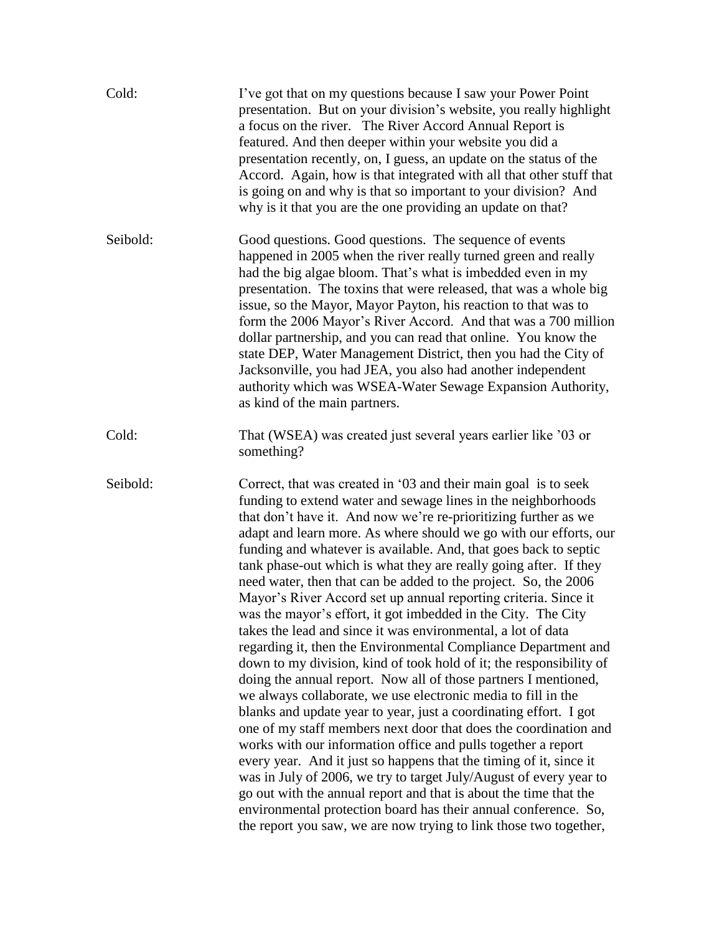| Cold:    | I've got that on my questions because I saw your Power Point<br>presentation. But on your division's website, you really highlight<br>a focus on the river. The River Accord Annual Report is<br>featured. And then deeper within your website you did a<br>presentation recently, on, I guess, an update on the status of the<br>Accord. Again, how is that integrated with all that other stuff that<br>is going on and why is that so important to your division? And<br>why is it that you are the one providing an update on that?                                                                                                                                                                                                                                                                                                                                                                                                                                                                                                                                                                                                                                                                                                                                                                                                                                                                                                                                                                                                  |
|----------|------------------------------------------------------------------------------------------------------------------------------------------------------------------------------------------------------------------------------------------------------------------------------------------------------------------------------------------------------------------------------------------------------------------------------------------------------------------------------------------------------------------------------------------------------------------------------------------------------------------------------------------------------------------------------------------------------------------------------------------------------------------------------------------------------------------------------------------------------------------------------------------------------------------------------------------------------------------------------------------------------------------------------------------------------------------------------------------------------------------------------------------------------------------------------------------------------------------------------------------------------------------------------------------------------------------------------------------------------------------------------------------------------------------------------------------------------------------------------------------------------------------------------------------|
| Seibold: | Good questions. Good questions. The sequence of events<br>happened in 2005 when the river really turned green and really<br>had the big algae bloom. That's what is imbedded even in my<br>presentation. The toxins that were released, that was a whole big<br>issue, so the Mayor, Mayor Payton, his reaction to that was to<br>form the 2006 Mayor's River Accord. And that was a 700 million<br>dollar partnership, and you can read that online. You know the<br>state DEP, Water Management District, then you had the City of<br>Jacksonville, you had JEA, you also had another independent<br>authority which was WSEA-Water Sewage Expansion Authority,<br>as kind of the main partners.                                                                                                                                                                                                                                                                                                                                                                                                                                                                                                                                                                                                                                                                                                                                                                                                                                       |
| Cold:    | That (WSEA) was created just several years earlier like '03 or<br>something?                                                                                                                                                                                                                                                                                                                                                                                                                                                                                                                                                                                                                                                                                                                                                                                                                                                                                                                                                                                                                                                                                                                                                                                                                                                                                                                                                                                                                                                             |
| Seibold: | Correct, that was created in '03 and their main goal is to seek<br>funding to extend water and sewage lines in the neighborhoods<br>that don't have it. And now we're re-prioritizing further as we<br>adapt and learn more. As where should we go with our efforts, our<br>funding and whatever is available. And, that goes back to septic<br>tank phase-out which is what they are really going after. If they<br>need water, then that can be added to the project. So, the 2006<br>Mayor's River Accord set up annual reporting criteria. Since it<br>was the mayor's effort, it got imbedded in the City. The City<br>takes the lead and since it was environmental, a lot of data<br>regarding it, then the Environmental Compliance Department and<br>down to my division, kind of took hold of it; the responsibility of<br>doing the annual report. Now all of those partners I mentioned,<br>we always collaborate, we use electronic media to fill in the<br>blanks and update year to year, just a coordinating effort. I got<br>one of my staff members next door that does the coordination and<br>works with our information office and pulls together a report<br>every year. And it just so happens that the timing of it, since it<br>was in July of 2006, we try to target July/August of every year to<br>go out with the annual report and that is about the time that the<br>environmental protection board has their annual conference. So,<br>the report you saw, we are now trying to link those two together, |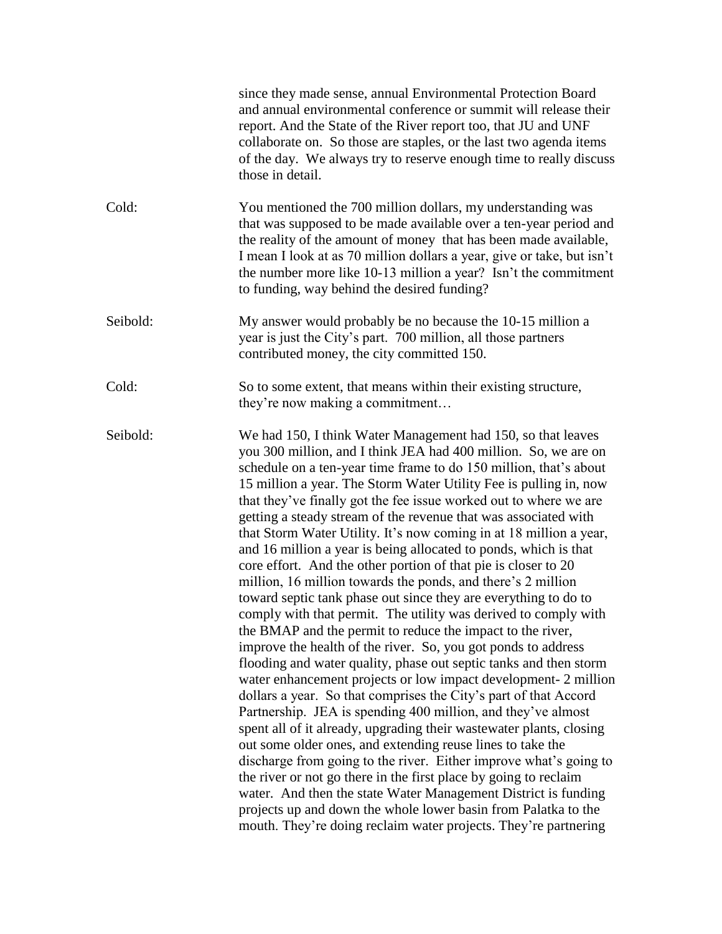|          | since they made sense, annual Environmental Protection Board<br>and annual environmental conference or summit will release their<br>report. And the State of the River report too, that JU and UNF<br>collaborate on. So those are staples, or the last two agenda items<br>of the day. We always try to reserve enough time to really discuss<br>those in detail.                                                                                                                                                                                                                                                                                                                                                                                                                                                                                                                                                                                                                                                                                                                                                                                                                                                                                                                                                                                                                                                                                                                                                                                                                                                                                                                                                                  |
|----------|-------------------------------------------------------------------------------------------------------------------------------------------------------------------------------------------------------------------------------------------------------------------------------------------------------------------------------------------------------------------------------------------------------------------------------------------------------------------------------------------------------------------------------------------------------------------------------------------------------------------------------------------------------------------------------------------------------------------------------------------------------------------------------------------------------------------------------------------------------------------------------------------------------------------------------------------------------------------------------------------------------------------------------------------------------------------------------------------------------------------------------------------------------------------------------------------------------------------------------------------------------------------------------------------------------------------------------------------------------------------------------------------------------------------------------------------------------------------------------------------------------------------------------------------------------------------------------------------------------------------------------------------------------------------------------------------------------------------------------------|
| Cold:    | You mentioned the 700 million dollars, my understanding was<br>that was supposed to be made available over a ten-year period and<br>the reality of the amount of money that has been made available,<br>I mean I look at as 70 million dollars a year, give or take, but isn't<br>the number more like 10-13 million a year? Isn't the commitment<br>to funding, way behind the desired funding?                                                                                                                                                                                                                                                                                                                                                                                                                                                                                                                                                                                                                                                                                                                                                                                                                                                                                                                                                                                                                                                                                                                                                                                                                                                                                                                                    |
| Seibold: | My answer would probably be no because the 10-15 million a<br>year is just the City's part. 700 million, all those partners<br>contributed money, the city committed 150.                                                                                                                                                                                                                                                                                                                                                                                                                                                                                                                                                                                                                                                                                                                                                                                                                                                                                                                                                                                                                                                                                                                                                                                                                                                                                                                                                                                                                                                                                                                                                           |
| Cold:    | So to some extent, that means within their existing structure,<br>they're now making a commitment                                                                                                                                                                                                                                                                                                                                                                                                                                                                                                                                                                                                                                                                                                                                                                                                                                                                                                                                                                                                                                                                                                                                                                                                                                                                                                                                                                                                                                                                                                                                                                                                                                   |
| Seibold: | We had 150, I think Water Management had 150, so that leaves<br>you 300 million, and I think JEA had 400 million. So, we are on<br>schedule on a ten-year time frame to do 150 million, that's about<br>15 million a year. The Storm Water Utility Fee is pulling in, now<br>that they've finally got the fee issue worked out to where we are<br>getting a steady stream of the revenue that was associated with<br>that Storm Water Utility. It's now coming in at 18 million a year,<br>and 16 million a year is being allocated to ponds, which is that<br>core effort. And the other portion of that pie is closer to 20<br>million, 16 million towards the ponds, and there's 2 million<br>toward septic tank phase out since they are everything to do to<br>comply with that permit. The utility was derived to comply with<br>the BMAP and the permit to reduce the impact to the river,<br>improve the health of the river. So, you got ponds to address<br>flooding and water quality, phase out septic tanks and then storm<br>water enhancement projects or low impact development- 2 million<br>dollars a year. So that comprises the City's part of that Accord<br>Partnership. JEA is spending 400 million, and they've almost<br>spent all of it already, upgrading their wastewater plants, closing<br>out some older ones, and extending reuse lines to take the<br>discharge from going to the river. Either improve what's going to<br>the river or not go there in the first place by going to reclaim<br>water. And then the state Water Management District is funding<br>projects up and down the whole lower basin from Palatka to the<br>mouth. They're doing reclaim water projects. They're partnering |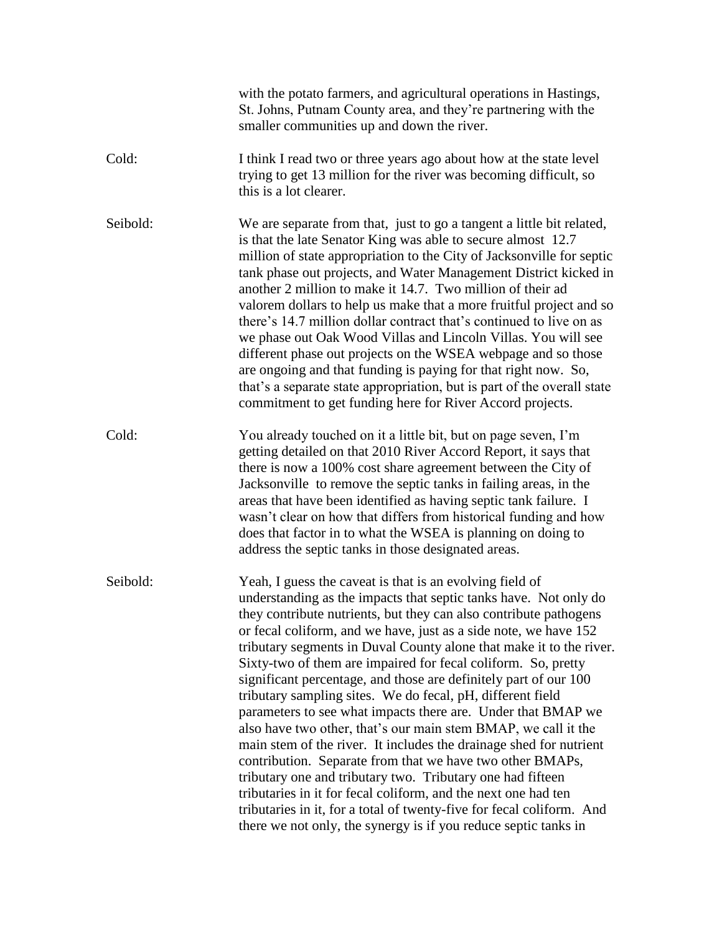|          | with the potato farmers, and agricultural operations in Hastings,<br>St. Johns, Putnam County area, and they're partnering with the<br>smaller communities up and down the river.                                                                                                                                                                                                                                                                                                                                                                                                                                                                                                                                                                                                                                                                                                                                                                                                                                                                                                                |
|----------|--------------------------------------------------------------------------------------------------------------------------------------------------------------------------------------------------------------------------------------------------------------------------------------------------------------------------------------------------------------------------------------------------------------------------------------------------------------------------------------------------------------------------------------------------------------------------------------------------------------------------------------------------------------------------------------------------------------------------------------------------------------------------------------------------------------------------------------------------------------------------------------------------------------------------------------------------------------------------------------------------------------------------------------------------------------------------------------------------|
| Cold:    | I think I read two or three years ago about how at the state level<br>trying to get 13 million for the river was becoming difficult, so<br>this is a lot clearer.                                                                                                                                                                                                                                                                                                                                                                                                                                                                                                                                                                                                                                                                                                                                                                                                                                                                                                                                |
| Seibold: | We are separate from that, just to go a tangent a little bit related,<br>is that the late Senator King was able to secure almost 12.7<br>million of state appropriation to the City of Jacksonville for septic<br>tank phase out projects, and Water Management District kicked in<br>another 2 million to make it 14.7. Two million of their ad<br>valorem dollars to help us make that a more fruitful project and so<br>there's 14.7 million dollar contract that's continued to live on as<br>we phase out Oak Wood Villas and Lincoln Villas. You will see<br>different phase out projects on the WSEA webpage and so those<br>are ongoing and that funding is paying for that right now. So,<br>that's a separate state appropriation, but is part of the overall state<br>commitment to get funding here for River Accord projects.                                                                                                                                                                                                                                                       |
| Cold:    | You already touched on it a little bit, but on page seven, I'm<br>getting detailed on that 2010 River Accord Report, it says that<br>there is now a 100% cost share agreement between the City of<br>Jacksonville to remove the septic tanks in failing areas, in the<br>areas that have been identified as having septic tank failure. I<br>wasn't clear on how that differs from historical funding and how<br>does that factor in to what the WSEA is planning on doing to<br>address the septic tanks in those designated areas.                                                                                                                                                                                                                                                                                                                                                                                                                                                                                                                                                             |
| Seibold: | Yeah, I guess the caveat is that is an evolving field of<br>understanding as the impacts that septic tanks have. Not only do<br>they contribute nutrients, but they can also contribute pathogens<br>or fecal coliform, and we have, just as a side note, we have 152<br>tributary segments in Duval County alone that make it to the river.<br>Sixty-two of them are impaired for fecal coliform. So, pretty<br>significant percentage, and those are definitely part of our 100<br>tributary sampling sites. We do fecal, pH, different field<br>parameters to see what impacts there are. Under that BMAP we<br>also have two other, that's our main stem BMAP, we call it the<br>main stem of the river. It includes the drainage shed for nutrient<br>contribution. Separate from that we have two other BMAPs,<br>tributary one and tributary two. Tributary one had fifteen<br>tributaries in it for fecal coliform, and the next one had ten<br>tributaries in it, for a total of twenty-five for fecal coliform. And<br>there we not only, the synergy is if you reduce septic tanks in |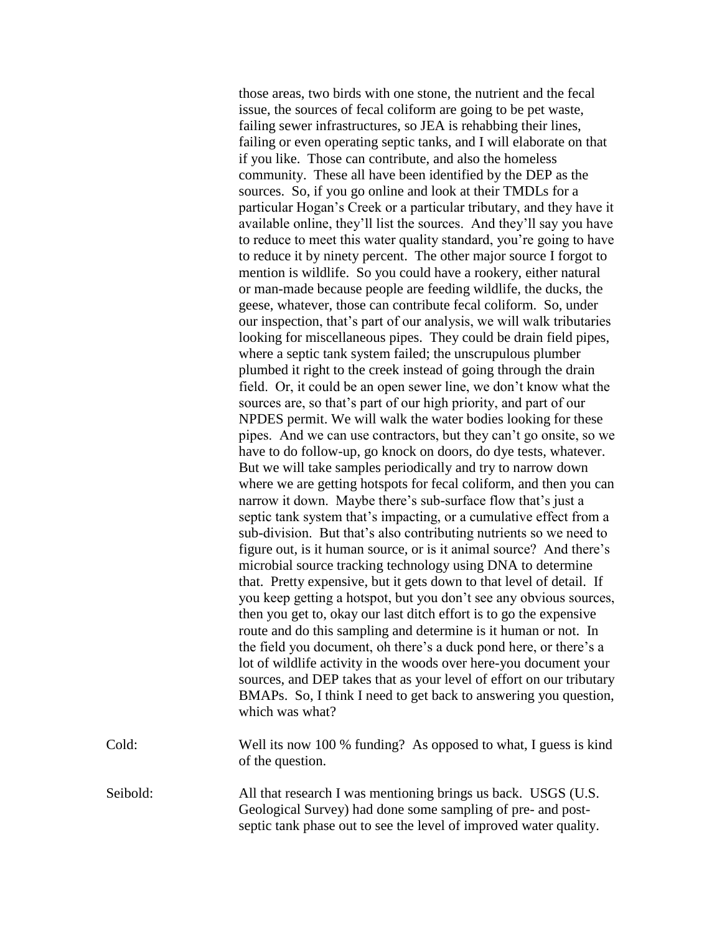those areas, two birds with one stone, the nutrient and the fecal issue, the sources of fecal coliform are going to be pet waste, failing sewer infrastructures, so JEA is rehabbing their lines, failing or even operating septic tanks, and I will elaborate on that if you like. Those can contribute, and also the homeless community. These all have been identified by the DEP as the sources. So, if you go online and look at their TMDLs for a particular Hogan's Creek or a particular tributary, and they have it available online, they'll list the sources. And they'll say you have to reduce to meet this water quality standard, you're going to have to reduce it by ninety percent. The other major source I forgot to mention is wildlife. So you could have a rookery, either natural or man-made because people are feeding wildlife, the ducks, the geese, whatever, those can contribute fecal coliform. So, under our inspection, that's part of our analysis, we will walk tributaries looking for miscellaneous pipes. They could be drain field pipes, where a septic tank system failed; the unscrupulous plumber plumbed it right to the creek instead of going through the drain field. Or, it could be an open sewer line, we don't know what the sources are, so that's part of our high priority, and part of our NPDES permit. We will walk the water bodies looking for these pipes. And we can use contractors, but they can't go onsite, so we have to do follow-up, go knock on doors, do dye tests, whatever. But we will take samples periodically and try to narrow down where we are getting hotspots for fecal coliform, and then you can narrow it down. Maybe there's sub-surface flow that's just a septic tank system that's impacting, or a cumulative effect from a sub-division. But that's also contributing nutrients so we need to figure out, is it human source, or is it animal source? And there's microbial source tracking technology using DNA to determine that. Pretty expensive, but it gets down to that level of detail. If you keep getting a hotspot, but you don't see any obvious sources, then you get to, okay our last ditch effort is to go the expensive route and do this sampling and determine is it human or not. In the field you document, oh there's a duck pond here, or there's a lot of wildlife activity in the woods over here-you document your sources, and DEP takes that as your level of effort on our tributary BMAPs. So, I think I need to get back to answering you question, which was what?

Cold: Well its now 100 % funding? As opposed to what, I guess is kind of the question.

Seibold: All that research I was mentioning brings us back. USGS (U.S. Geological Survey) had done some sampling of pre- and postseptic tank phase out to see the level of improved water quality.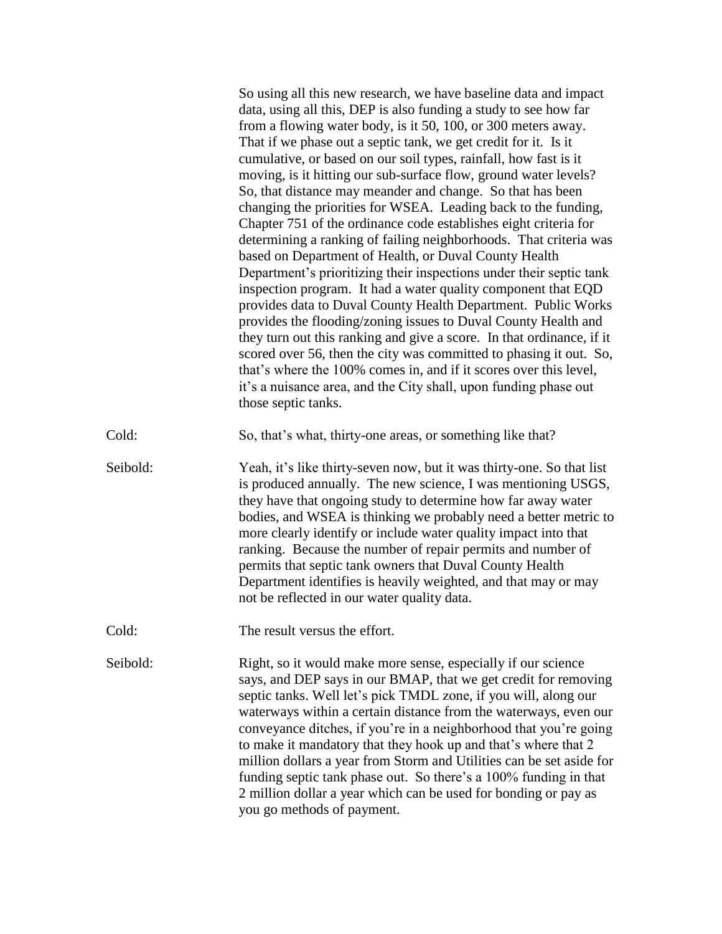So using all this new research, we have baseline data and impact data, using all this, DEP is also funding a study to see how far from a flowing water body, is it 50, 100, or 300 meters away. That if we phase out a septic tank, we get credit for it. Is it cumulative, or based on our soil types, rainfall, how fast is it moving, is it hitting our sub-surface flow, ground water levels? So, that distance may meander and change. So that has been changing the priorities for WSEA. Leading back to the funding, Chapter 751 of the ordinance code establishes eight criteria for determining a ranking of failing neighborhoods. That criteria was based on Department of Health, or Duval County Health Department's prioritizing their inspections under their septic tank inspection program. It had a water quality component that EQD provides data to Duval County Health Department. Public Works provides the flooding/zoning issues to Duval County Health and they turn out this ranking and give a score. In that ordinance, if it scored over 56, then the city was committed to phasing it out. So, that's where the 100% comes in, and if it scores over this level, it's a nuisance area, and the City shall, upon funding phase out those septic tanks.

Cold: So, that's what, thirty-one areas, or something like that?

Seibold: Yeah, it's like thirty-seven now, but it was thirty-one. So that list is produced annually. The new science, I was mentioning USGS, they have that ongoing study to determine how far away water bodies, and WSEA is thinking we probably need a better metric to more clearly identify or include water quality impact into that ranking. Because the number of repair permits and number of permits that septic tank owners that Duval County Health Department identifies is heavily weighted, and that may or may not be reflected in our water quality data.

Cold: The result versus the effort.

Seibold: Right, so it would make more sense, especially if our science says, and DEP says in our BMAP, that we get credit for removing septic tanks. Well let's pick TMDL zone, if you will, along our waterways within a certain distance from the waterways, even our conveyance ditches, if you're in a neighborhood that you're going to make it mandatory that they hook up and that's where that 2 million dollars a year from Storm and Utilities can be set aside for funding septic tank phase out. So there's a 100% funding in that 2 million dollar a year which can be used for bonding or pay as you go methods of payment.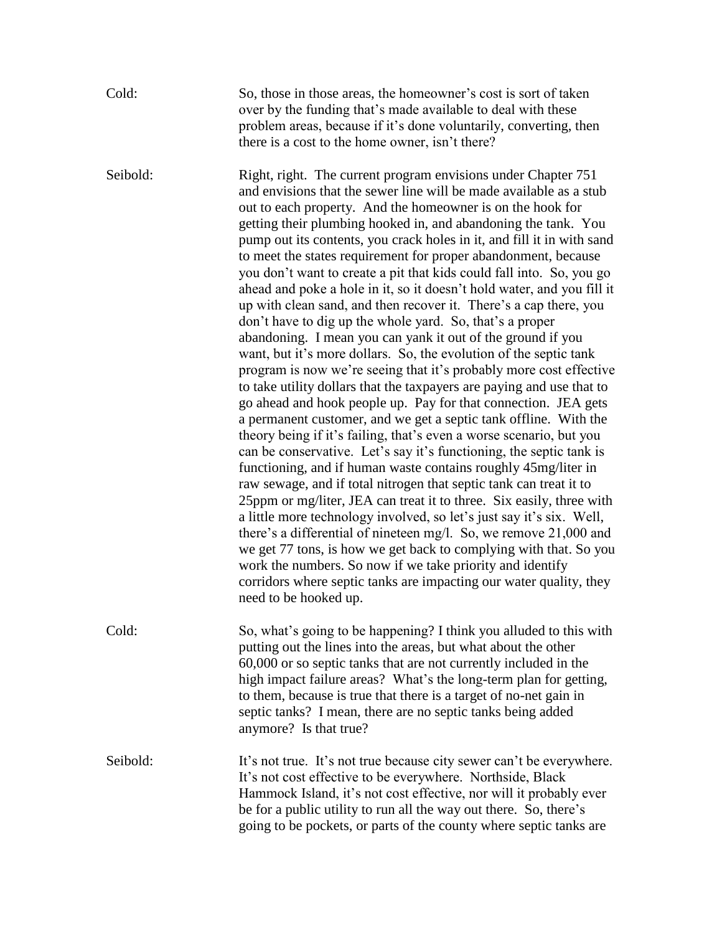| Cold:    | So, those in those areas, the homeowner's cost is sort of taken<br>over by the funding that's made available to deal with these<br>problem areas, because if it's done voluntarily, converting, then<br>there is a cost to the home owner, isn't there?                                                                                                                                                                                                                                                                                                                                                                                                                                                                                                                                                                                                                                                                                                                                                                                                                                                                                                                                                                                                                                                                                                                                                                                                                                                                                                                                                                                                                                                                                                                                                                                                                 |
|----------|-------------------------------------------------------------------------------------------------------------------------------------------------------------------------------------------------------------------------------------------------------------------------------------------------------------------------------------------------------------------------------------------------------------------------------------------------------------------------------------------------------------------------------------------------------------------------------------------------------------------------------------------------------------------------------------------------------------------------------------------------------------------------------------------------------------------------------------------------------------------------------------------------------------------------------------------------------------------------------------------------------------------------------------------------------------------------------------------------------------------------------------------------------------------------------------------------------------------------------------------------------------------------------------------------------------------------------------------------------------------------------------------------------------------------------------------------------------------------------------------------------------------------------------------------------------------------------------------------------------------------------------------------------------------------------------------------------------------------------------------------------------------------------------------------------------------------------------------------------------------------|
| Seibold: | Right, right. The current program envisions under Chapter 751<br>and envisions that the sewer line will be made available as a stub<br>out to each property. And the homeowner is on the hook for<br>getting their plumbing hooked in, and abandoning the tank. You<br>pump out its contents, you crack holes in it, and fill it in with sand<br>to meet the states requirement for proper abandonment, because<br>you don't want to create a pit that kids could fall into. So, you go<br>ahead and poke a hole in it, so it doesn't hold water, and you fill it<br>up with clean sand, and then recover it. There's a cap there, you<br>don't have to dig up the whole yard. So, that's a proper<br>abandoning. I mean you can yank it out of the ground if you<br>want, but it's more dollars. So, the evolution of the septic tank<br>program is now we're seeing that it's probably more cost effective<br>to take utility dollars that the taxpayers are paying and use that to<br>go ahead and hook people up. Pay for that connection. JEA gets<br>a permanent customer, and we get a septic tank offline. With the<br>theory being if it's failing, that's even a worse scenario, but you<br>can be conservative. Let's say it's functioning, the septic tank is<br>functioning, and if human waste contains roughly 45mg/liter in<br>raw sewage, and if total nitrogen that septic tank can treat it to<br>25ppm or mg/liter, JEA can treat it to three. Six easily, three with<br>a little more technology involved, so let's just say it's six. Well,<br>there's a differential of nineteen mg/l. So, we remove 21,000 and<br>we get 77 tons, is how we get back to complying with that. So you<br>work the numbers. So now if we take priority and identify<br>corridors where septic tanks are impacting our water quality, they<br>need to be hooked up. |
| Cold:    | So, what's going to be happening? I think you alluded to this with<br>putting out the lines into the areas, but what about the other<br>60,000 or so septic tanks that are not currently included in the<br>high impact failure areas? What's the long-term plan for getting,<br>to them, because is true that there is a target of no-net gain in<br>septic tanks? I mean, there are no septic tanks being added<br>anymore? Is that true?                                                                                                                                                                                                                                                                                                                                                                                                                                                                                                                                                                                                                                                                                                                                                                                                                                                                                                                                                                                                                                                                                                                                                                                                                                                                                                                                                                                                                             |
| Seibold: | It's not true. It's not true because city sewer can't be everywhere.<br>It's not cost effective to be everywhere. Northside, Black<br>Hammock Island, it's not cost effective, nor will it probably ever<br>be for a public utility to run all the way out there. So, there's<br>going to be pockets, or parts of the county where septic tanks are                                                                                                                                                                                                                                                                                                                                                                                                                                                                                                                                                                                                                                                                                                                                                                                                                                                                                                                                                                                                                                                                                                                                                                                                                                                                                                                                                                                                                                                                                                                     |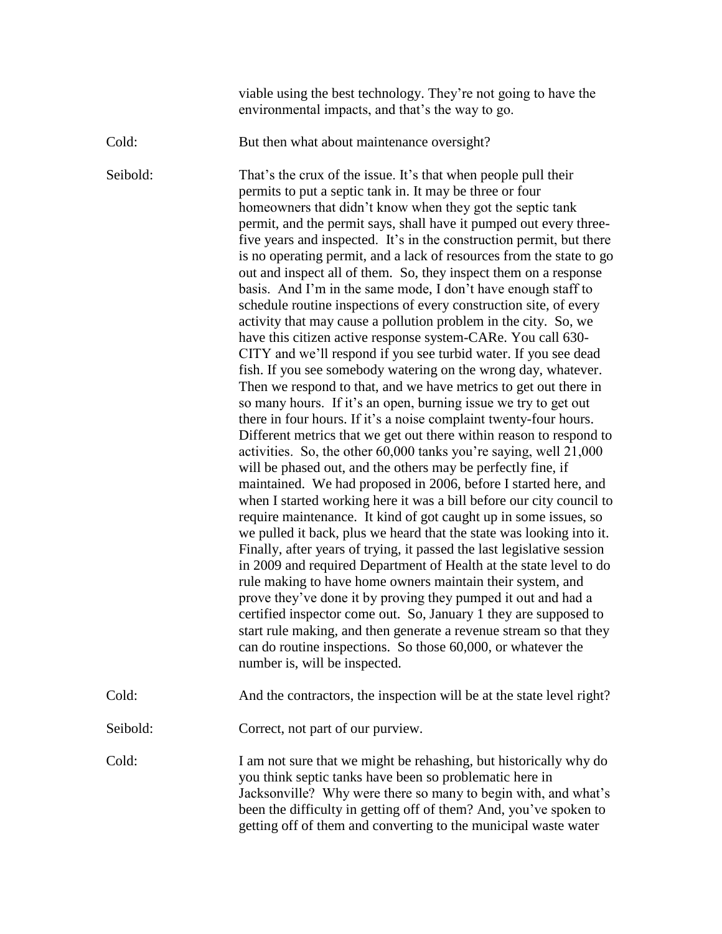|          | viable using the best technology. They're not going to have the<br>environmental impacts, and that's the way to go.                                                                                                                                                                                                                                                                                                                                                                                                                                                                                                                                                                                                                                                                                                                                                                                                                                                                                                                                                                                                                                                                                                                                                                                                                                                                                                                                                                                                                                                                                                                                                                                                                                                                                                                                                                                                                                                                                                                                                                                                                      |
|----------|------------------------------------------------------------------------------------------------------------------------------------------------------------------------------------------------------------------------------------------------------------------------------------------------------------------------------------------------------------------------------------------------------------------------------------------------------------------------------------------------------------------------------------------------------------------------------------------------------------------------------------------------------------------------------------------------------------------------------------------------------------------------------------------------------------------------------------------------------------------------------------------------------------------------------------------------------------------------------------------------------------------------------------------------------------------------------------------------------------------------------------------------------------------------------------------------------------------------------------------------------------------------------------------------------------------------------------------------------------------------------------------------------------------------------------------------------------------------------------------------------------------------------------------------------------------------------------------------------------------------------------------------------------------------------------------------------------------------------------------------------------------------------------------------------------------------------------------------------------------------------------------------------------------------------------------------------------------------------------------------------------------------------------------------------------------------------------------------------------------------------------------|
| Cold:    | But then what about maintenance oversight?                                                                                                                                                                                                                                                                                                                                                                                                                                                                                                                                                                                                                                                                                                                                                                                                                                                                                                                                                                                                                                                                                                                                                                                                                                                                                                                                                                                                                                                                                                                                                                                                                                                                                                                                                                                                                                                                                                                                                                                                                                                                                               |
| Seibold: | That's the crux of the issue. It's that when people pull their<br>permits to put a septic tank in. It may be three or four<br>homeowners that didn't know when they got the septic tank<br>permit, and the permit says, shall have it pumped out every three-<br>five years and inspected. It's in the construction permit, but there<br>is no operating permit, and a lack of resources from the state to go<br>out and inspect all of them. So, they inspect them on a response<br>basis. And I'm in the same mode, I don't have enough staff to<br>schedule routine inspections of every construction site, of every<br>activity that may cause a pollution problem in the city. So, we<br>have this citizen active response system-CARe. You call 630-<br>CITY and we'll respond if you see turbid water. If you see dead<br>fish. If you see somebody watering on the wrong day, whatever.<br>Then we respond to that, and we have metrics to get out there in<br>so many hours. If it's an open, burning issue we try to get out<br>there in four hours. If it's a noise complaint twenty-four hours.<br>Different metrics that we get out there within reason to respond to<br>activities. So, the other 60,000 tanks you're saying, well 21,000<br>will be phased out, and the others may be perfectly fine, if<br>maintained. We had proposed in 2006, before I started here, and<br>when I started working here it was a bill before our city council to<br>require maintenance. It kind of got caught up in some issues, so<br>we pulled it back, plus we heard that the state was looking into it.<br>Finally, after years of trying, it passed the last legislative session<br>in 2009 and required Department of Health at the state level to do<br>rule making to have home owners maintain their system, and<br>prove they've done it by proving they pumped it out and had a<br>certified inspector come out. So, January 1 they are supposed to<br>start rule making, and then generate a revenue stream so that they<br>can do routine inspections. So those 60,000, or whatever the<br>number is, will be inspected. |
| Cold:    | And the contractors, the inspection will be at the state level right?                                                                                                                                                                                                                                                                                                                                                                                                                                                                                                                                                                                                                                                                                                                                                                                                                                                                                                                                                                                                                                                                                                                                                                                                                                                                                                                                                                                                                                                                                                                                                                                                                                                                                                                                                                                                                                                                                                                                                                                                                                                                    |
| Seibold: | Correct, not part of our purview.                                                                                                                                                                                                                                                                                                                                                                                                                                                                                                                                                                                                                                                                                                                                                                                                                                                                                                                                                                                                                                                                                                                                                                                                                                                                                                                                                                                                                                                                                                                                                                                                                                                                                                                                                                                                                                                                                                                                                                                                                                                                                                        |
| Cold:    | I am not sure that we might be rehashing, but historically why do<br>you think septic tanks have been so problematic here in<br>Jacksonville? Why were there so many to begin with, and what's<br>been the difficulty in getting off of them? And, you've spoken to<br>getting off of them and converting to the municipal waste water                                                                                                                                                                                                                                                                                                                                                                                                                                                                                                                                                                                                                                                                                                                                                                                                                                                                                                                                                                                                                                                                                                                                                                                                                                                                                                                                                                                                                                                                                                                                                                                                                                                                                                                                                                                                   |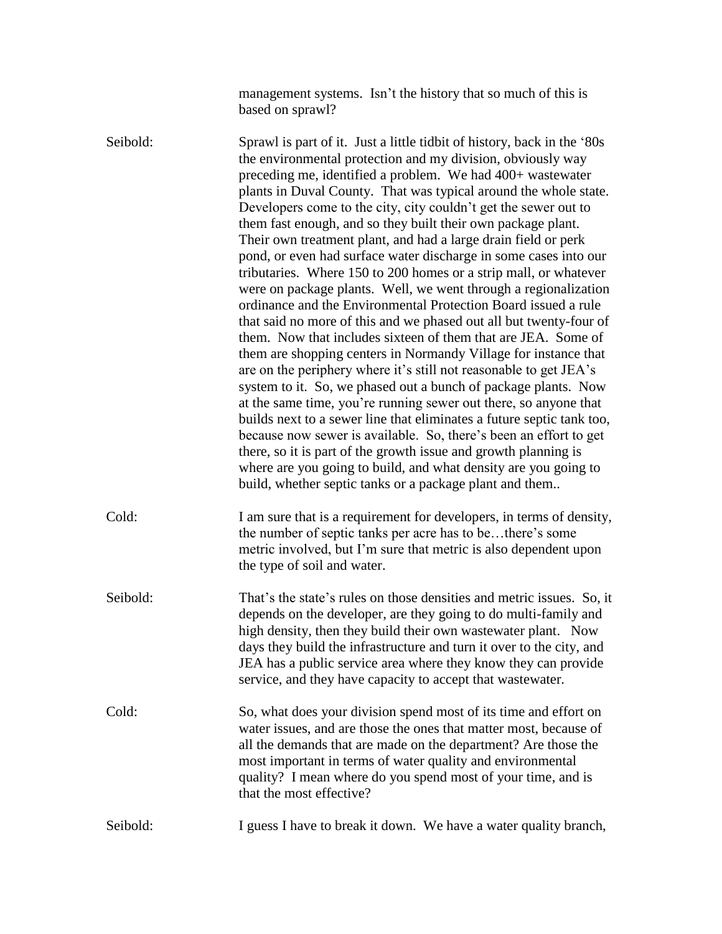management systems. Isn't the history that so much of this is based on sprawl?

| Seibold: | Sprawl is part of it. Just a little tidbit of history, back in the '80s<br>the environmental protection and my division, obviously way<br>preceding me, identified a problem. We had 400+ wastewater<br>plants in Duval County. That was typical around the whole state.<br>Developers come to the city, city couldn't get the sewer out to<br>them fast enough, and so they built their own package plant.<br>Their own treatment plant, and had a large drain field or perk<br>pond, or even had surface water discharge in some cases into our<br>tributaries. Where 150 to 200 homes or a strip mall, or whatever<br>were on package plants. Well, we went through a regionalization<br>ordinance and the Environmental Protection Board issued a rule<br>that said no more of this and we phased out all but twenty-four of<br>them. Now that includes sixteen of them that are JEA. Some of<br>them are shopping centers in Normandy Village for instance that<br>are on the periphery where it's still not reasonable to get JEA's<br>system to it. So, we phased out a bunch of package plants. Now<br>at the same time, you're running sewer out there, so anyone that<br>builds next to a sewer line that eliminates a future septic tank too,<br>because now sewer is available. So, there's been an effort to get<br>there, so it is part of the growth issue and growth planning is<br>where are you going to build, and what density are you going to<br>build, whether septic tanks or a package plant and them |
|----------|--------------------------------------------------------------------------------------------------------------------------------------------------------------------------------------------------------------------------------------------------------------------------------------------------------------------------------------------------------------------------------------------------------------------------------------------------------------------------------------------------------------------------------------------------------------------------------------------------------------------------------------------------------------------------------------------------------------------------------------------------------------------------------------------------------------------------------------------------------------------------------------------------------------------------------------------------------------------------------------------------------------------------------------------------------------------------------------------------------------------------------------------------------------------------------------------------------------------------------------------------------------------------------------------------------------------------------------------------------------------------------------------------------------------------------------------------------------------------------------------------------------------------------|
| Cold:    | I am sure that is a requirement for developers, in terms of density,<br>the number of septic tanks per acre has to bethere's some<br>metric involved, but I'm sure that metric is also dependent upon<br>the type of soil and water.                                                                                                                                                                                                                                                                                                                                                                                                                                                                                                                                                                                                                                                                                                                                                                                                                                                                                                                                                                                                                                                                                                                                                                                                                                                                                           |
| Seibold: | That's the state's rules on those densities and metric issues. So, it<br>depends on the developer, are they going to do multi-family and<br>high density, then they build their own wastewater plant. Now<br>days they build the infrastructure and turn it over to the city, and<br>JEA has a public service area where they know they can provide<br>service, and they have capacity to accept that was tewater.                                                                                                                                                                                                                                                                                                                                                                                                                                                                                                                                                                                                                                                                                                                                                                                                                                                                                                                                                                                                                                                                                                             |
| Cold:    | So, what does your division spend most of its time and effort on<br>water issues, and are those the ones that matter most, because of<br>all the demands that are made on the department? Are those the<br>most important in terms of water quality and environmental<br>quality? I mean where do you spend most of your time, and is<br>that the most effective?                                                                                                                                                                                                                                                                                                                                                                                                                                                                                                                                                                                                                                                                                                                                                                                                                                                                                                                                                                                                                                                                                                                                                              |
| Seibold: | I guess I have to break it down. We have a water quality branch,                                                                                                                                                                                                                                                                                                                                                                                                                                                                                                                                                                                                                                                                                                                                                                                                                                                                                                                                                                                                                                                                                                                                                                                                                                                                                                                                                                                                                                                               |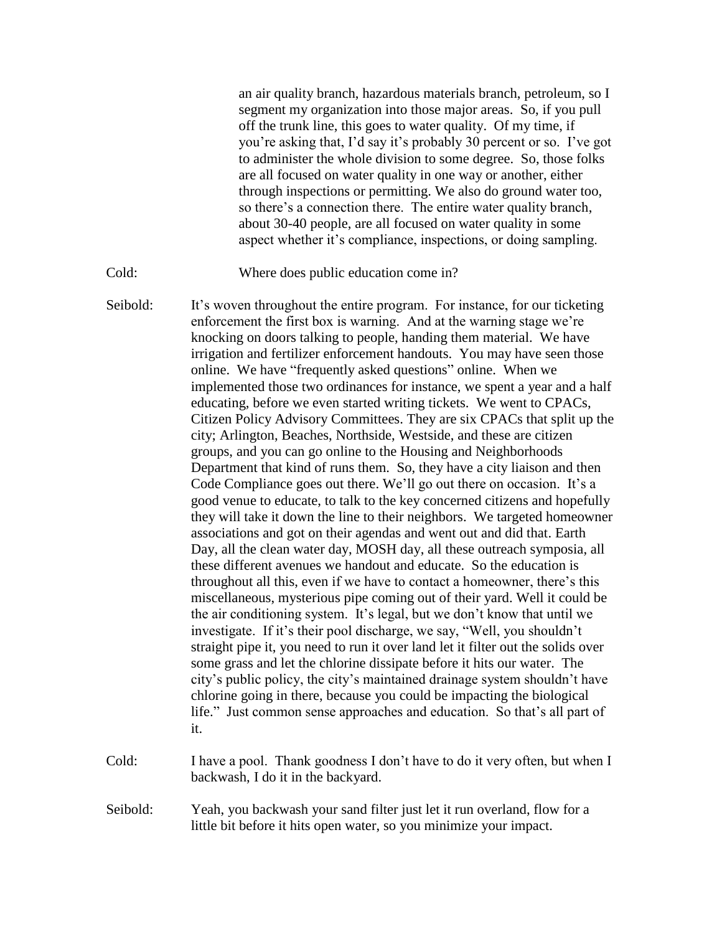an air quality branch, hazardous materials branch, petroleum, so I segment my organization into those major areas. So, if you pull off the trunk line, this goes to water quality. Of my time, if you're asking that, I'd say it's probably 30 percent or so. I've got to administer the whole division to some degree. So, those folks are all focused on water quality in one way or another, either through inspections or permitting. We also do ground water too, so there's a connection there. The entire water quality branch, about 30-40 people, are all focused on water quality in some aspect whether it's compliance, inspections, or doing sampling.

Cold: Where does public education come in?

Seibold: It's woven throughout the entire program. For instance, for our ticketing enforcement the first box is warning. And at the warning stage we're knocking on doors talking to people, handing them material. We have irrigation and fertilizer enforcement handouts. You may have seen those online. We have "frequently asked questions" online. When we implemented those two ordinances for instance, we spent a year and a half educating, before we even started writing tickets. We went to CPACs, Citizen Policy Advisory Committees. They are six CPACs that split up the city; Arlington, Beaches, Northside, Westside, and these are citizen groups, and you can go online to the Housing and Neighborhoods Department that kind of runs them. So, they have a city liaison and then Code Compliance goes out there. We'll go out there on occasion. It's a good venue to educate, to talk to the key concerned citizens and hopefully they will take it down the line to their neighbors. We targeted homeowner associations and got on their agendas and went out and did that. Earth Day, all the clean water day, MOSH day, all these outreach symposia, all these different avenues we handout and educate. So the education is throughout all this, even if we have to contact a homeowner, there's this miscellaneous, mysterious pipe coming out of their yard. Well it could be the air conditioning system. It's legal, but we don't know that until we investigate. If it's their pool discharge, we say, "Well, you shouldn't straight pipe it, you need to run it over land let it filter out the solids over some grass and let the chlorine dissipate before it hits our water. The city's public policy, the city's maintained drainage system shouldn't have chlorine going in there, because you could be impacting the biological life." Just common sense approaches and education. So that's all part of it.

Cold: I have a pool. Thank goodness I don't have to do it very often, but when I backwash, I do it in the backyard.

Seibold: Yeah, you backwash your sand filter just let it run overland, flow for a little bit before it hits open water, so you minimize your impact.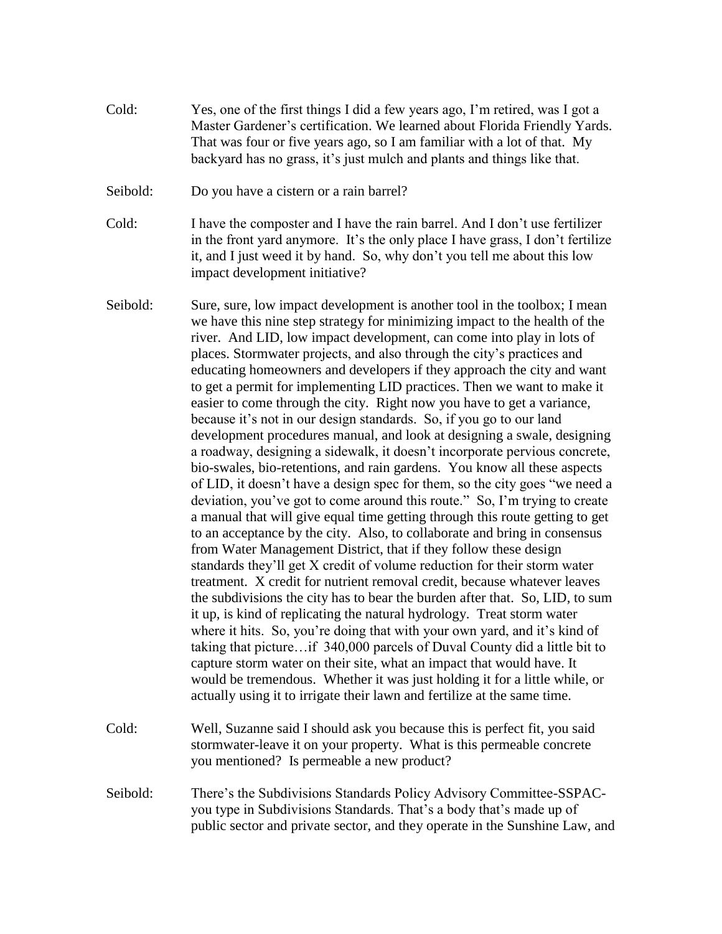- Cold: Yes, one of the first things I did a few years ago, I'm retired, was I got a Master Gardener's certification. We learned about Florida Friendly Yards. That was four or five years ago, so I am familiar with a lot of that. My backyard has no grass, it's just mulch and plants and things like that.
- Seibold: Do you have a cistern or a rain barrel?

Cold: I have the composter and I have the rain barrel. And I don't use fertilizer in the front yard anymore. It's the only place I have grass, I don't fertilize it, and I just weed it by hand. So, why don't you tell me about this low impact development initiative?

- Seibold: Sure, sure, low impact development is another tool in the toolbox; I mean we have this nine step strategy for minimizing impact to the health of the river. And LID, low impact development, can come into play in lots of places. Stormwater projects, and also through the city's practices and educating homeowners and developers if they approach the city and want to get a permit for implementing LID practices. Then we want to make it easier to come through the city. Right now you have to get a variance, because it's not in our design standards. So, if you go to our land development procedures manual, and look at designing a swale, designing a roadway, designing a sidewalk, it doesn't incorporate pervious concrete, bio-swales, bio-retentions, and rain gardens. You know all these aspects of LID, it doesn't have a design spec for them, so the city goes "we need a deviation, you've got to come around this route." So, I'm trying to create a manual that will give equal time getting through this route getting to get to an acceptance by the city. Also, to collaborate and bring in consensus from Water Management District, that if they follow these design standards they'll get X credit of volume reduction for their storm water treatment. X credit for nutrient removal credit, because whatever leaves the subdivisions the city has to bear the burden after that. So, LID, to sum it up, is kind of replicating the natural hydrology. Treat storm water where it hits. So, you're doing that with your own yard, and it's kind of taking that picture…if 340,000 parcels of Duval County did a little bit to capture storm water on their site, what an impact that would have. It would be tremendous. Whether it was just holding it for a little while, or actually using it to irrigate their lawn and fertilize at the same time.
- Cold: Well, Suzanne said I should ask you because this is perfect fit, you said stormwater-leave it on your property. What is this permeable concrete you mentioned? Is permeable a new product?
- Seibold: There's the Subdivisions Standards Policy Advisory Committee-SSPACyou type in Subdivisions Standards. That's a body that's made up of public sector and private sector, and they operate in the Sunshine Law, and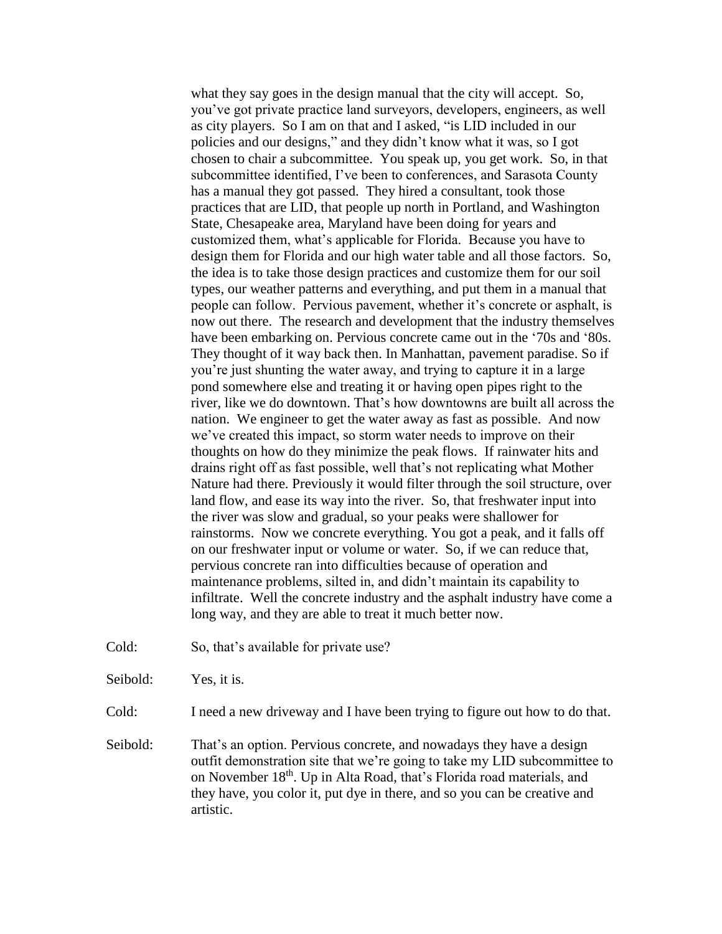what they say goes in the design manual that the city will accept. So, you've got private practice land surveyors, developers, engineers, as well as city players. So I am on that and I asked, "is LID included in our policies and our designs," and they didn't know what it was, so I got chosen to chair a subcommittee. You speak up, you get work. So, in that subcommittee identified, I've been to conferences, and Sarasota County has a manual they got passed. They hired a consultant, took those practices that are LID, that people up north in Portland, and Washington State, Chesapeake area, Maryland have been doing for years and customized them, what's applicable for Florida. Because you have to design them for Florida and our high water table and all those factors. So, the idea is to take those design practices and customize them for our soil types, our weather patterns and everything, and put them in a manual that people can follow. Pervious pavement, whether it's concrete or asphalt, is now out there. The research and development that the industry themselves have been embarking on. Pervious concrete came out in the '70s and '80s. They thought of it way back then. In Manhattan, pavement paradise. So if you're just shunting the water away, and trying to capture it in a large pond somewhere else and treating it or having open pipes right to the river, like we do downtown. That's how downtowns are built all across the nation. We engineer to get the water away as fast as possible. And now we've created this impact, so storm water needs to improve on their thoughts on how do they minimize the peak flows. If rainwater hits and drains right off as fast possible, well that's not replicating what Mother Nature had there. Previously it would filter through the soil structure, over land flow, and ease its way into the river. So, that freshwater input into the river was slow and gradual, so your peaks were shallower for rainstorms. Now we concrete everything. You got a peak, and it falls off on our freshwater input or volume or water. So, if we can reduce that, pervious concrete ran into difficulties because of operation and maintenance problems, silted in, and didn't maintain its capability to infiltrate. Well the concrete industry and the asphalt industry have come a long way, and they are able to treat it much better now.

- Cold: So, that's available for private use?
- Seibold: Yes, it is.

Cold: I need a new driveway and I have been trying to figure out how to do that.

Seibold: That's an option. Pervious concrete, and nowadays they have a design outfit demonstration site that we're going to take my LID subcommittee to on November 18<sup>th</sup>. Up in Alta Road, that's Florida road materials, and they have, you color it, put dye in there, and so you can be creative and artistic.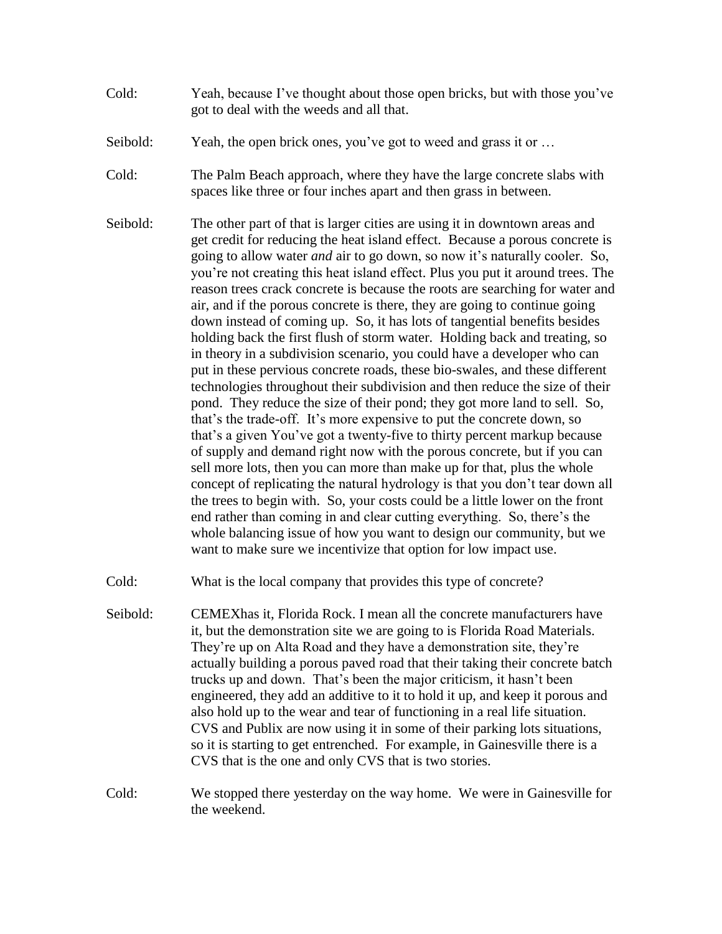- Cold: Yeah, because I've thought about those open bricks, but with those you've got to deal with the weeds and all that.
- Seibold: Yeah, the open brick ones, you've got to weed and grass it or ...
- Cold: The Palm Beach approach, where they have the large concrete slabs with spaces like three or four inches apart and then grass in between.
- Seibold: The other part of that is larger cities are using it in downtown areas and get credit for reducing the heat island effect. Because a porous concrete is going to allow water *and* air to go down, so now it's naturally cooler. So, you're not creating this heat island effect. Plus you put it around trees. The reason trees crack concrete is because the roots are searching for water and air, and if the porous concrete is there, they are going to continue going down instead of coming up. So, it has lots of tangential benefits besides holding back the first flush of storm water. Holding back and treating, so in theory in a subdivision scenario, you could have a developer who can put in these pervious concrete roads, these bio-swales, and these different technologies throughout their subdivision and then reduce the size of their pond. They reduce the size of their pond; they got more land to sell. So, that's the trade-off. It's more expensive to put the concrete down, so that's a given You've got a twenty-five to thirty percent markup because of supply and demand right now with the porous concrete, but if you can sell more lots, then you can more than make up for that, plus the whole concept of replicating the natural hydrology is that you don't tear down all the trees to begin with. So, your costs could be a little lower on the front end rather than coming in and clear cutting everything. So, there's the whole balancing issue of how you want to design our community, but we want to make sure we incentivize that option for low impact use.
- Cold: What is the local company that provides this type of concrete?
- Seibold: CEMEXhas it, Florida Rock. I mean all the concrete manufacturers have it, but the demonstration site we are going to is Florida Road Materials. They're up on Alta Road and they have a demonstration site, they're actually building a porous paved road that their taking their concrete batch trucks up and down. That's been the major criticism, it hasn't been engineered, they add an additive to it to hold it up, and keep it porous and also hold up to the wear and tear of functioning in a real life situation. CVS and Publix are now using it in some of their parking lots situations, so it is starting to get entrenched. For example, in Gainesville there is a CVS that is the one and only CVS that is two stories.
- Cold: We stopped there yesterday on the way home. We were in Gainesville for the weekend.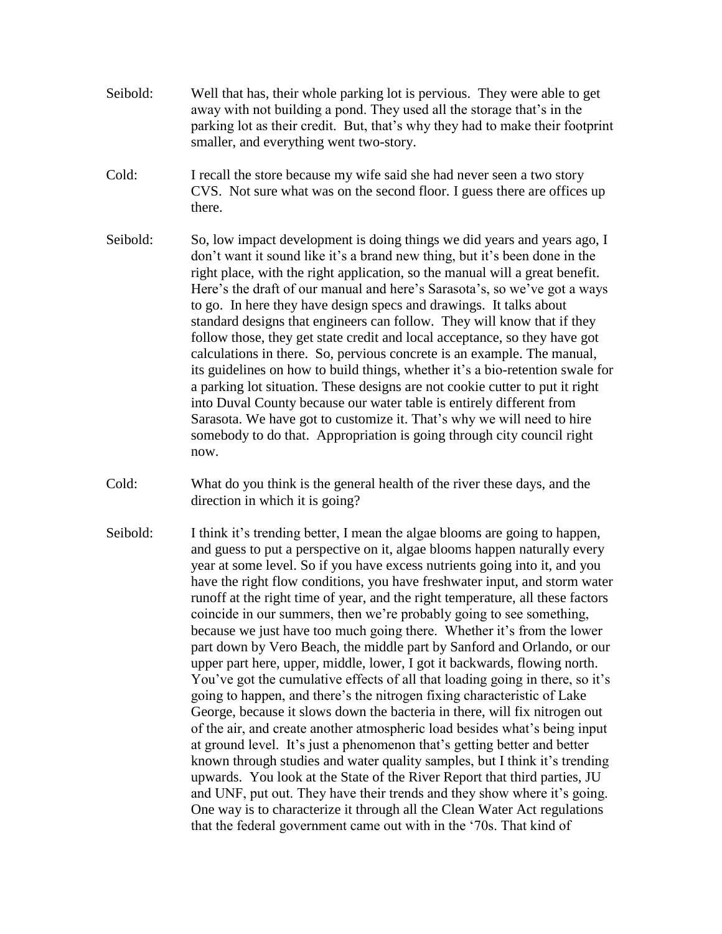- Seibold: Well that has, their whole parking lot is pervious. They were able to get away with not building a pond. They used all the storage that's in the parking lot as their credit. But, that's why they had to make their footprint smaller, and everything went two-story.
- Cold: I recall the store because my wife said she had never seen a two story CVS. Not sure what was on the second floor. I guess there are offices up there.
- Seibold: So, low impact development is doing things we did years and years ago, I don't want it sound like it's a brand new thing, but it's been done in the right place, with the right application, so the manual will a great benefit. Here's the draft of our manual and here's Sarasota's, so we've got a ways to go. In here they have design specs and drawings. It talks about standard designs that engineers can follow. They will know that if they follow those, they get state credit and local acceptance, so they have got calculations in there. So, pervious concrete is an example. The manual, its guidelines on how to build things, whether it's a bio-retention swale for a parking lot situation. These designs are not cookie cutter to put it right into Duval County because our water table is entirely different from Sarasota. We have got to customize it. That's why we will need to hire somebody to do that. Appropriation is going through city council right now.
- Cold: What do you think is the general health of the river these days, and the direction in which it is going?
- Seibold: I think it's trending better, I mean the algae blooms are going to happen, and guess to put a perspective on it, algae blooms happen naturally every year at some level. So if you have excess nutrients going into it, and you have the right flow conditions, you have freshwater input, and storm water runoff at the right time of year, and the right temperature, all these factors coincide in our summers, then we're probably going to see something, because we just have too much going there. Whether it's from the lower part down by Vero Beach, the middle part by Sanford and Orlando, or our upper part here, upper, middle, lower, I got it backwards, flowing north. You've got the cumulative effects of all that loading going in there, so it's going to happen, and there's the nitrogen fixing characteristic of Lake George, because it slows down the bacteria in there, will fix nitrogen out of the air, and create another atmospheric load besides what's being input at ground level. It's just a phenomenon that's getting better and better known through studies and water quality samples, but I think it's trending upwards. You look at the State of the River Report that third parties, JU and UNF, put out. They have their trends and they show where it's going. One way is to characterize it through all the Clean Water Act regulations that the federal government came out with in the '70s. That kind of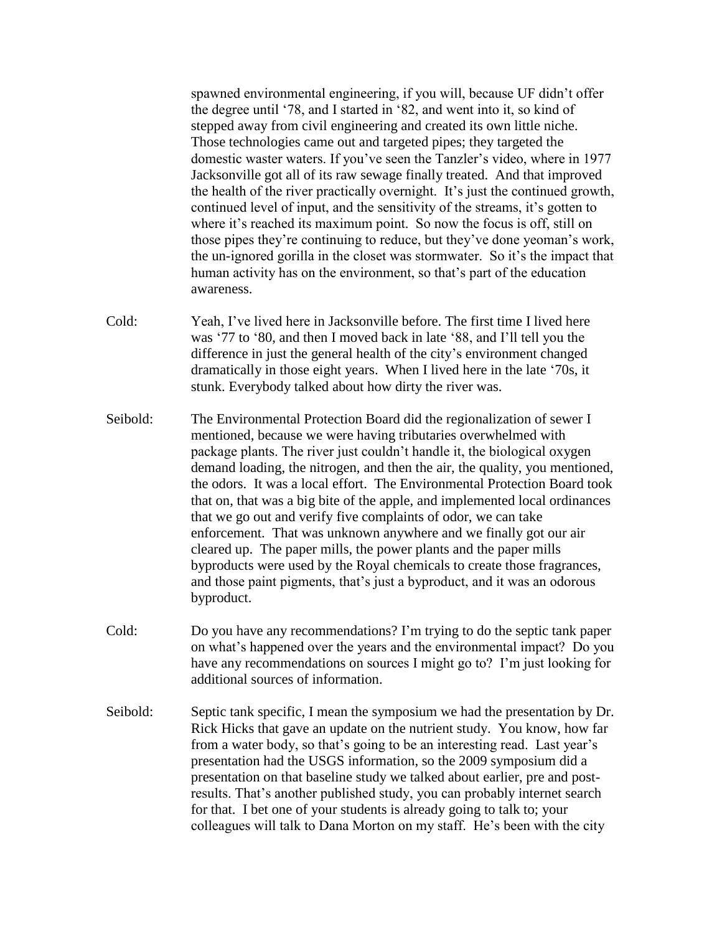spawned environmental engineering, if you will, because UF didn't offer the degree until '78, and I started in '82, and went into it, so kind of stepped away from civil engineering and created its own little niche. Those technologies came out and targeted pipes; they targeted the domestic waster waters. If you've seen the Tanzler's video, where in 1977 Jacksonville got all of its raw sewage finally treated. And that improved the health of the river practically overnight. It's just the continued growth, continued level of input, and the sensitivity of the streams, it's gotten to where it's reached its maximum point. So now the focus is off, still on those pipes they're continuing to reduce, but they've done yeoman's work, the un-ignored gorilla in the closet was stormwater. So it's the impact that human activity has on the environment, so that's part of the education awareness.

- Cold: Yeah, I've lived here in Jacksonville before. The first time I lived here was '77 to '80, and then I moved back in late '88, and I'll tell you the difference in just the general health of the city's environment changed dramatically in those eight years. When I lived here in the late '70s, it stunk. Everybody talked about how dirty the river was.
- Seibold: The Environmental Protection Board did the regionalization of sewer I mentioned, because we were having tributaries overwhelmed with package plants. The river just couldn't handle it, the biological oxygen demand loading, the nitrogen, and then the air, the quality, you mentioned, the odors. It was a local effort. The Environmental Protection Board took that on, that was a big bite of the apple, and implemented local ordinances that we go out and verify five complaints of odor, we can take enforcement. That was unknown anywhere and we finally got our air cleared up. The paper mills, the power plants and the paper mills byproducts were used by the Royal chemicals to create those fragrances, and those paint pigments, that's just a byproduct, and it was an odorous byproduct.
- Cold: Do you have any recommendations? I'm trying to do the septic tank paper on what's happened over the years and the environmental impact? Do you have any recommendations on sources I might go to? I'm just looking for additional sources of information.
- Seibold: Septic tank specific, I mean the symposium we had the presentation by Dr. Rick Hicks that gave an update on the nutrient study. You know, how far from a water body, so that's going to be an interesting read. Last year's presentation had the USGS information, so the 2009 symposium did a presentation on that baseline study we talked about earlier, pre and postresults. That's another published study, you can probably internet search for that. I bet one of your students is already going to talk to; your colleagues will talk to Dana Morton on my staff. He's been with the city